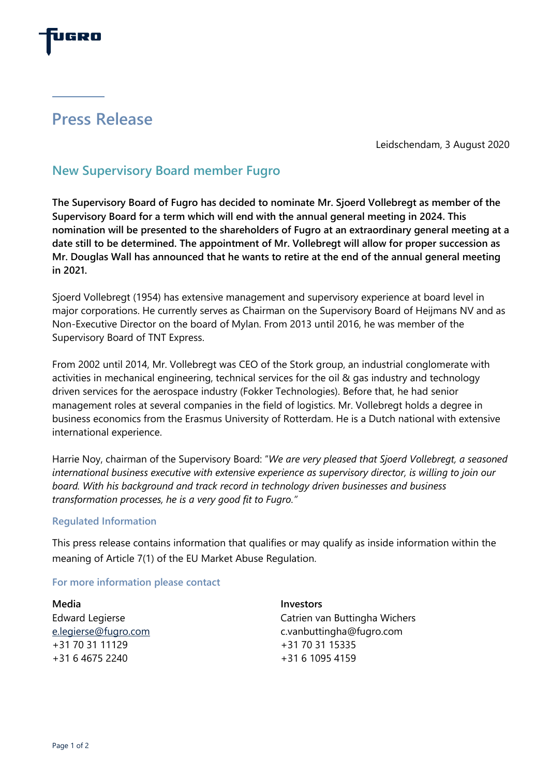

# **Press Release**

Leidschendam, 3 August 2020

## **New Supervisory Board member Fugro**

**The Supervisory Board of Fugro has decided to nominate Mr. Sjoerd Vollebregt as member of the Supervisory Board for a term which will end with the annual general meeting in 2024. This nomination will be presented to the shareholders of Fugro at an extraordinary general meeting at a date still to be determined. The appointment of Mr. Vollebregt will allow for proper succession as Mr. Douglas Wall has announced that he wants to retire at the end of the annual general meeting in 2021.** 

Sjoerd Vollebregt (1954) has extensive management and supervisory experience at board level in major corporations. He currently serves as Chairman on the Supervisory Board of Heijmans NV and as Non-Executive Director on the board of Mylan. From 2013 until 2016, he was member of the Supervisory Board of TNT Express.

From 2002 until 2014, Mr. Vollebregt was CEO of the Stork group, an industrial conglomerate with activities in mechanical engineering, technical services for the oil & gas industry and technology driven services for the aerospace industry (Fokker Technologies). Before that, he had senior management roles at several companies in the field of logistics. Mr. Vollebregt holds a degree in business economics from the Erasmus University of Rotterdam. He is a Dutch national with extensive international experience.

Harrie Noy, chairman of the Supervisory Board: "*We are very pleased that Sjoerd Vollebregt, a seasoned international business executive with extensive experience as supervisory director, is willing to join our board. With his background and track record in technology driven businesses and business transformation processes, he is a very good fit to Fugro."*

#### **Regulated Information**

This press release contains information that qualifies or may qualify as inside information within the meaning of Article 7(1) of the EU Market Abuse Regulation.

#### **For more information please contact**

| Media                | <b>Investors</b>              |
|----------------------|-------------------------------|
| Edward Legierse      | Catrien van Buttingha Wichers |
| e.legierse@fugro.com | c.vanbuttingha@fugro.com      |
| +31 70 31 11129      | +31 70 31 15335               |
| +31 6 4675 2240      | +31 6 1095 4159               |